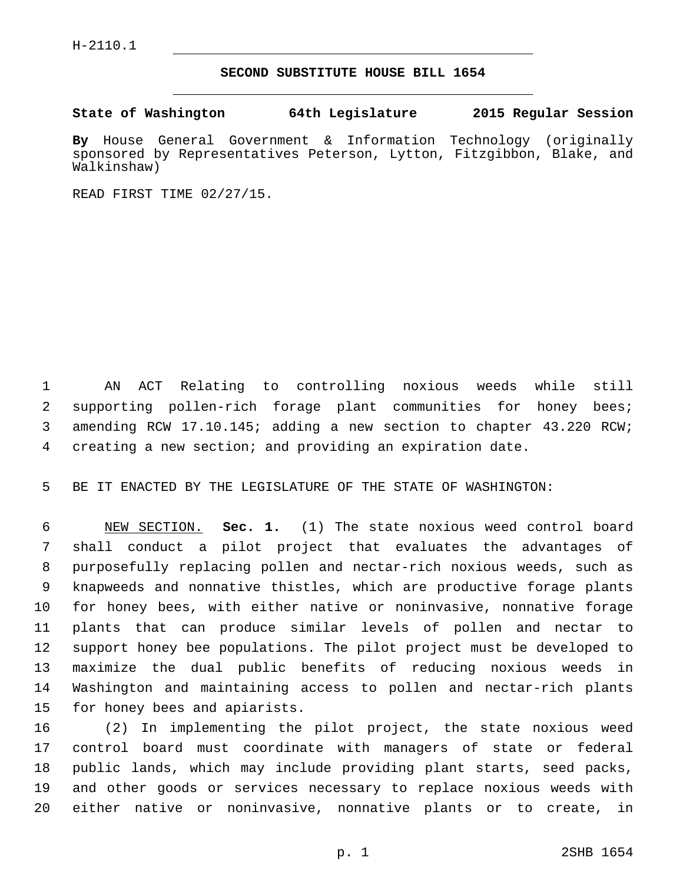## **SECOND SUBSTITUTE HOUSE BILL 1654**

**State of Washington 64th Legislature 2015 Regular Session**

**By** House General Government & Information Technology (originally sponsored by Representatives Peterson, Lytton, Fitzgibbon, Blake, and Walkinshaw)

READ FIRST TIME 02/27/15.

 AN ACT Relating to controlling noxious weeds while still supporting pollen-rich forage plant communities for honey bees; amending RCW 17.10.145; adding a new section to chapter 43.220 RCW; creating a new section; and providing an expiration date.

BE IT ENACTED BY THE LEGISLATURE OF THE STATE OF WASHINGTON:

 NEW SECTION. **Sec. 1.** (1) The state noxious weed control board shall conduct a pilot project that evaluates the advantages of purposefully replacing pollen and nectar-rich noxious weeds, such as knapweeds and nonnative thistles, which are productive forage plants for honey bees, with either native or noninvasive, nonnative forage plants that can produce similar levels of pollen and nectar to support honey bee populations. The pilot project must be developed to maximize the dual public benefits of reducing noxious weeds in Washington and maintaining access to pollen and nectar-rich plants for honey bees and apiarists.

 (2) In implementing the pilot project, the state noxious weed control board must coordinate with managers of state or federal public lands, which may include providing plant starts, seed packs, and other goods or services necessary to replace noxious weeds with either native or noninvasive, nonnative plants or to create, in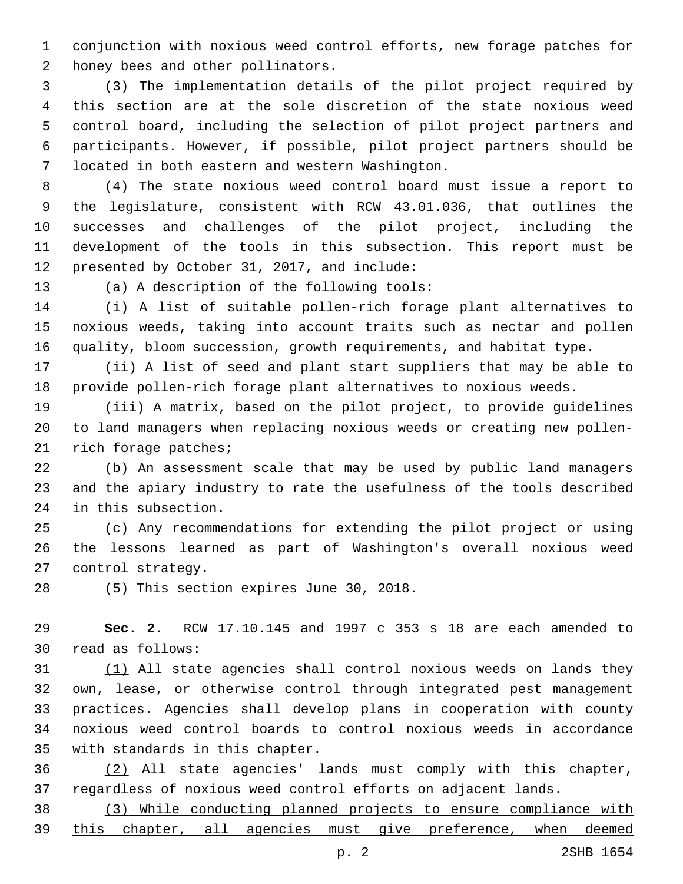conjunction with noxious weed control efforts, new forage patches for 2 honey bees and other pollinators.

 (3) The implementation details of the pilot project required by this section are at the sole discretion of the state noxious weed control board, including the selection of pilot project partners and participants. However, if possible, pilot project partners should be located in both eastern and western Washington.7

 (4) The state noxious weed control board must issue a report to the legislature, consistent with RCW 43.01.036, that outlines the successes and challenges of the pilot project, including the development of the tools in this subsection. This report must be 12 presented by October 31, 2017, and include:

13 (a) A description of the following tools:

 (i) A list of suitable pollen-rich forage plant alternatives to noxious weeds, taking into account traits such as nectar and pollen quality, bloom succession, growth requirements, and habitat type.

 (ii) A list of seed and plant start suppliers that may be able to provide pollen-rich forage plant alternatives to noxious weeds.

 (iii) A matrix, based on the pilot project, to provide guidelines to land managers when replacing noxious weeds or creating new pollen-21 rich forage patches;

 (b) An assessment scale that may be used by public land managers and the apiary industry to rate the usefulness of the tools described 24 in this subsection.

 (c) Any recommendations for extending the pilot project or using the lessons learned as part of Washington's overall noxious weed 27 control strategy.

28 (5) This section expires June 30, 2018.

 **Sec. 2.** RCW 17.10.145 and 1997 c 353 s 18 are each amended to 30 read as follows:

 (1) All state agencies shall control noxious weeds on lands they own, lease, or otherwise control through integrated pest management practices. Agencies shall develop plans in cooperation with county noxious weed control boards to control noxious weeds in accordance 35 with standards in this chapter.

 (2) All state agencies' lands must comply with this chapter, regardless of noxious weed control efforts on adjacent lands.

 (3) While conducting planned projects to ensure compliance with this chapter, all agencies must give preference, when deemed